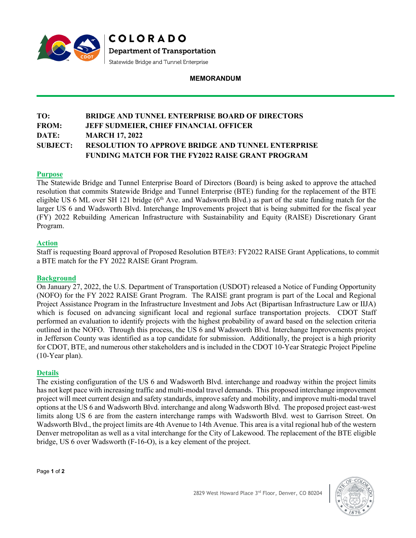

**MEMORANDUM**

# **TO: BRIDGE AND TUNNEL ENTERPRISE BOARD OF DIRECTORS FROM: JEFF SUDMEIER, CHIEF FINANCIAL OFFICER DATE: MARCH 17, 2022 SUBJECT: RESOLUTION TO APPROVE BRIDGE AND TUNNEL ENTERPRISE FUNDING MATCH FOR THE FY2022 RAISE GRANT PROGRAM**

# **Purpose**

The Statewide Bridge and Tunnel Enterprise Board of Directors (Board) is being asked to approve the attached resolution that commits Statewide Bridge and Tunnel Enterprise (BTE) funding for the replacement of the BTE eligible US 6 ML over SH 121 bridge (6<sup>th</sup> Ave. and Wadsworth Blvd.) as part of the state funding match for the larger US 6 and Wadsworth Blvd. Interchange Improvements project that is being submitted for the fiscal year (FY) 2022 Rebuilding American Infrastructure with Sustainability and Equity (RAISE) Discretionary Grant Program.

### **Action**

Staff is requesting Board approval of Proposed Resolution BTE#3: FY2022 RAISE Grant Applications, to commit a BTE match for the FY 2022 RAISE Grant Program.

### **Background**

On January 27, 2022, the U.S. Department of Transportation (USDOT) released a Notice of Funding Opportunity (NOFO) for the FY 2022 RAISE Grant Program. The RAISE grant program is part of the Local and Regional Project Assistance Program in the Infrastructure Investment and Jobs Act (Bipartisan Infrastructure Law or IIJA) which is focused on advancing significant local and regional surface transportation projects. CDOT Staff performed an evaluation to identify projects with the highest probability of award based on the selection criteria outlined in the NOFO. Through this process, the US 6 and Wadsworth Blvd. Interchange Improvements project in Jefferson County was identified as a top candidate for submission. Additionally, the project is a high priority for CDOT, BTE, and numerous other stakeholders and is included in the CDOT 10-Year Strategic Project Pipeline (10-Year plan).

#### **Details**

The existing configuration of the US 6 and Wadsworth Blvd. interchange and roadway within the project limits has not kept pace with increasing traffic and multi-modal travel demands. This proposed interchange improvement project will meet current design and safety standards, improve safety and mobility, and improve multi-modal travel options at the US 6 and Wadsworth Blvd. interchange and along Wadsworth Blvd. The proposed project east-west limits along US 6 are from the eastern interchange ramps with Wadsworth Blvd. west to Garrison Street. On Wadsworth Blvd., the project limits are 4th Avenue to 14th Avenue. This area is a vital regional hub of the western Denver metropolitan as well as a vital interchange for the City of Lakewood. The replacement of the BTE eligible bridge, US 6 over Wadsworth (F-16-O), is a key element of the project.